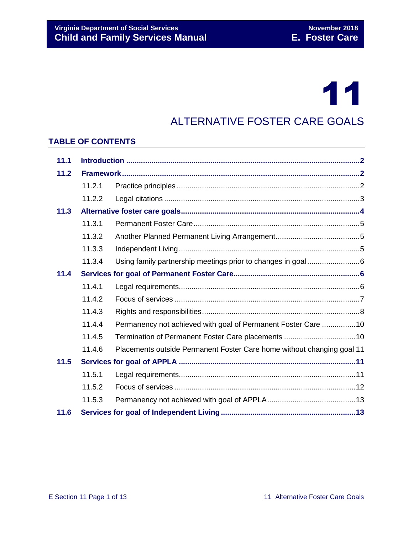# 11

### ALTERNATIVE FOSTER CARE GOALS

#### **TABLE OF CONTENTS**

| 11.1 |        |                                                                        |  |
|------|--------|------------------------------------------------------------------------|--|
| 11.2 |        |                                                                        |  |
|      | 11.2.1 |                                                                        |  |
|      | 11.2.2 |                                                                        |  |
| 11.3 |        |                                                                        |  |
|      | 11.3.1 |                                                                        |  |
|      | 11.3.2 |                                                                        |  |
|      | 11.3.3 |                                                                        |  |
|      | 11.3.4 | Using family partnership meetings prior to changes in goal6            |  |
| 11.4 |        |                                                                        |  |
|      | 11.4.1 |                                                                        |  |
|      | 11.4.2 |                                                                        |  |
|      | 11.4.3 |                                                                        |  |
|      | 11.4.4 | Permanency not achieved with goal of Permanent Foster Care 10          |  |
|      | 11.4.5 |                                                                        |  |
|      | 11.4.6 | Placements outside Permanent Foster Care home without changing goal 11 |  |
| 11.5 |        |                                                                        |  |
|      | 11.5.1 |                                                                        |  |
|      | 11.5.2 |                                                                        |  |
|      | 11.5.3 |                                                                        |  |
| 11.6 |        |                                                                        |  |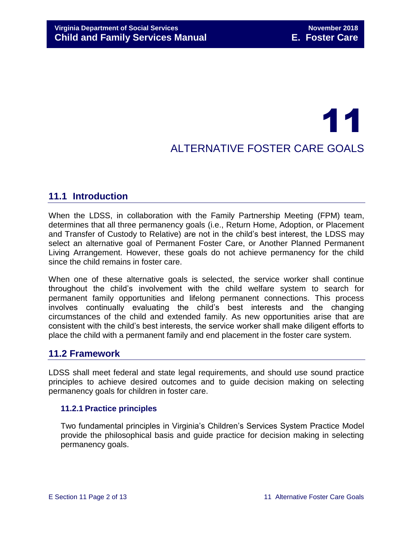## 11 ALTERNATIVE FOSTER CARE GOALS

#### <span id="page-1-0"></span>**11.1 Introduction**

When the LDSS, in collaboration with the Family Partnership Meeting (FPM) team, determines that all three permanency goals (i.e., Return Home, Adoption, or Placement and Transfer of Custody to Relative) are not in the child's best interest, the LDSS may select an alternative goal of Permanent Foster Care, or Another Planned Permanent Living Arrangement. However, these goals do not achieve permanency for the child since the child remains in foster care.

When one of these alternative goals is selected, the service worker shall continue throughout the child's involvement with the child welfare system to search for permanent family opportunities and lifelong permanent connections. This process involves continually evaluating the child's best interests and the changing circumstances of the child and extended family. As new opportunities arise that are consistent with the child's best interests, the service worker shall make diligent efforts to place the child with a permanent family and end placement in the foster care system.

#### <span id="page-1-1"></span>**11.2 Framework**

LDSS shall meet federal and state legal requirements, and should use sound practice principles to achieve desired outcomes and to guide decision making on selecting permanency goals for children in foster care.

#### <span id="page-1-2"></span>**11.2.1 Practice principles**

Two fundamental principles in Virginia's Children's Services System Practice Model provide the philosophical basis and guide practice for decision making in selecting permanency goals.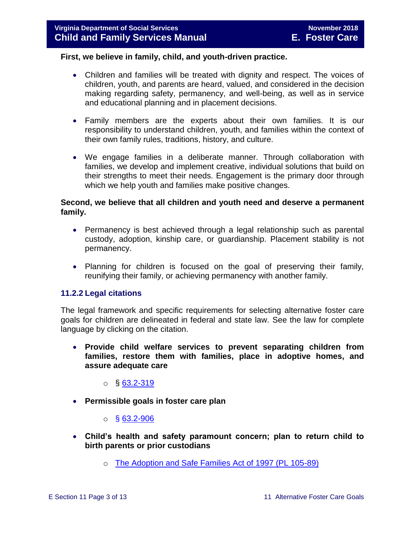#### **First, we believe in family, child, and youth-driven practice.**

- Children and families will be treated with dignity and respect. The voices of children, youth, and parents are heard, valued, and considered in the decision making regarding safety, permanency, and well-being, as well as in service and educational planning and in placement decisions.
- Family members are the experts about their own families. It is our responsibility to understand children, youth, and families within the context of their own family rules, traditions, history, and culture.
- We engage families in a deliberate manner. Through collaboration with families, we develop and implement creative, individual solutions that build on their strengths to meet their needs. Engagement is the primary door through which we help youth and families make positive changes.

#### **Second, we believe that all children and youth need and deserve a permanent family.**

- Permanency is best achieved through a legal relationship such as parental custody, adoption, kinship care, or guardianship. Placement stability is not permanency.
- Planning for children is focused on the goal of preserving their family, reunifying their family, or achieving permanency with another family.

#### <span id="page-2-0"></span>**11.2.2 Legal citations**

The legal framework and specific requirements for selecting alternative foster care goals for children are delineated in federal and state law. See the law for complete language by clicking on the citation.

 **Provide child welfare services to prevent separating children from families, restore them with families, place in adoptive homes, and assure adequate care**

 $\circ$  § [63.2-319](http://law.lis.virginia.gov/vacode/63.2-319/)

- **Permissible goals in foster care plan** 
	- $\circ$  § [63.2-906](http://law.lis.virginia.gov/vacode/63.2-906/)
- **Child's health and safety paramount concern; plan to return child to birth parents or prior custodians**
	- o [The Adoption and Safe Families Act of 1997 \(PL 105-89\)](http://frwebgate.access.gpo.gov/cgi-bin/getdoc.cgi?dbname=105_cong_bills&docid=f:h867enr.txt.pdf)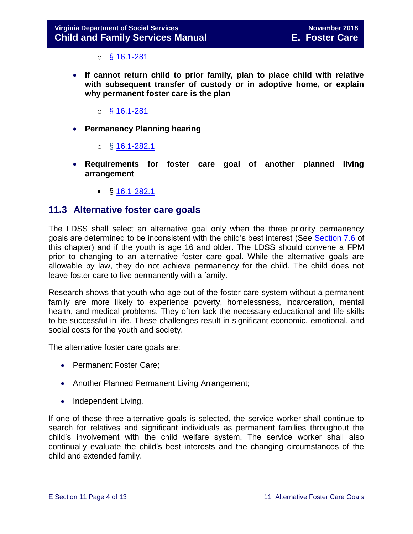$\circ$  § [16.1-281](http://law.lis.virginia.gov/vacode/16.1-281/)

- **If cannot return child to prior family, plan to place child with relative with subsequent transfer of custody or in adoptive home, or explain why permanent foster care is the plan** 
	- $\circ$  § [16.1-281](http://law.lis.virginia.gov/vacode/16.1-281/)
- **Permanency Planning hearing**
	- $\circ$  § [16.1-282.1](http://law.lis.virginia.gov/vacode/16.1-282.1/)
- **Requirements for foster care goal of another planned living arrangement** 
	- $\bullet$  § [16.1-282.1](http://law.lis.virginia.gov/vacode/16.1-282.1/)

#### <span id="page-3-0"></span>**11.3 Alternative foster care goals**

The LDSS shall select an alternative goal only when the three priority permanency goals are determined to be inconsistent with the child's best interest (See [Section 7.6](file://///Vaultcelerra.co.dss.state.va.us/Workgroup/Family_Services/DFS%20Child%20and%20Family%20Services%20Manual/E.%20Foster%20Care/Foster%20Care%20June%202017/section_7_selecting_permanency_goals.docx) of this chapter) and if the youth is age 16 and older. The LDSS should convene a FPM prior to changing to an alternative foster care goal. While the alternative goals are allowable by law, they do not achieve permanency for the child. The child does not leave foster care to live permanently with a family.

Research shows that youth who age out of the foster care system without a permanent family are more likely to experience poverty, homelessness, incarceration, mental health, and medical problems. They often lack the necessary educational and life skills to be successful in life. These challenges result in significant economic, emotional, and social costs for the youth and society.

The alternative foster care goals are:

- Permanent Foster Care;
- Another Planned Permanent Living Arrangement;
- Independent Living.

If one of these three alternative goals is selected, the service worker shall continue to search for relatives and significant individuals as permanent families throughout the child's involvement with the child welfare system. The service worker shall also continually evaluate the child's best interests and the changing circumstances of the child and extended family.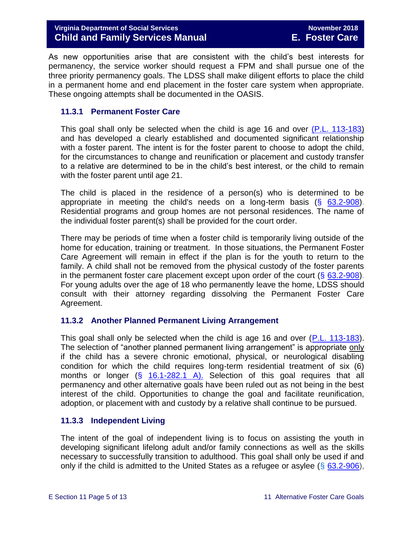As new opportunities arise that are consistent with the child's best interests for permanency, the service worker should request a FPM and shall pursue one of the three priority permanency goals. The LDSS shall make diligent efforts to place the child in a permanent home and end placement in the foster care system when appropriate. These ongoing attempts shall be documented in the OASIS.

#### <span id="page-4-0"></span>**11.3.1 Permanent Foster Care**

This goal shall only be selected when the child is age 16 and over [\(P.L. 113-183\)](https://www.congress.gov/113/plaws/publ183/PLAW-113publ183.pdf) and has developed a clearly established and documented significant relationship with a foster parent. The intent is for the foster parent to choose to adopt the child, for the circumstances to change and reunification or placement and custody transfer to a relative are determined to be in the child's best interest, or the child to remain with the foster parent until age 21.

The child is placed in the residence of a person(s) who is determined to be appropriate in meeting the child's needs on a long-term basis  $(§$  [63.2-908\)](http://law.lis.virginia.gov/vacode/63.2-908/). Residential programs and group homes are not personal residences. The name of the individual foster parent(s) shall be provided for the court order.

There may be periods of time when a foster child is temporarily living outside of the home for education, training or treatment. In those situations, the Permanent Foster Care Agreement will remain in effect if the plan is for the youth to return to the family. A child shall not be removed from the physical custody of the foster parents in the permanent foster care placement except upon order of the court  $(\S$  [63.2-908\)](http://law.lis.virginia.gov/vacode/63.2-908/). For young adults over the age of 18 who permanently leave the home, LDSS should consult with their attorney regarding dissolving the Permanent Foster Care Agreement.

#### <span id="page-4-1"></span>**11.3.2 Another Planned Permanent Living Arrangement**

This goal shall only be selected when the child is age 16 and over [\(P.L. 113-183\)](https://www.congress.gov/113/plaws/publ183/PLAW-113publ183.pdf). The selection of "another planned permanent living arrangement" is appropriate only if the child has a severe chronic emotional, physical, or neurological disabling condition for which the child requires long-term residential treatment of six (6) months or longer  $(\S$  [16.1-282.1 A\).](http://law.lis.virginia.gov/vacode/16.1-282.1/) Selection of this goal requires that all permanency and other alternative goals have been ruled out as not being in the best interest of the child. Opportunities to change the goal and facilitate reunification, adoption, or placement with and custody by a relative shall continue to be pursued.

#### <span id="page-4-2"></span>**11.3.3 Independent Living**

The intent of the goal of independent living is to focus on assisting the youth in developing significant lifelong adult and/or family connections as well as the skills necessary to successfully transition to adulthood. This goal shall only be used if and only if the child is admitted to the United States as a refugee or asylee ( $\S$  [63.2-906\)](http://law.lis.virginia.gov/vacode/title63.2/chapter9/section63.2-906/),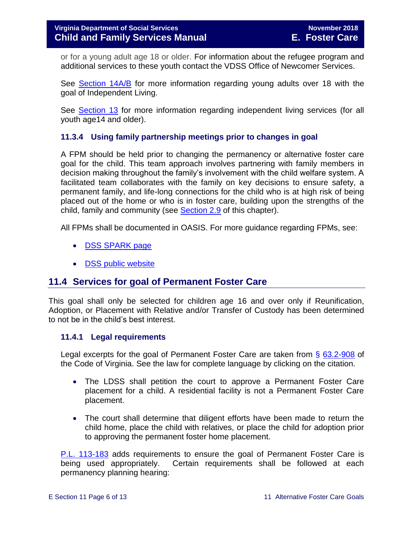or for a young adult age 18 or older. For information about the refugee program and additional services to these youth contact the VDSS Office of Newcomer Services.

See [Section 14A/B](file://///Vaultcelerra.co.dss.state.va.us/Workgroup/Family_Services/DFS%20Child%20and%20Family%20Services%20Manual/E.%20Foster%20Care/Foster%20Care%20June%202017/Section_14A_independent%20living%20program%20youth%2018-21.docx) for more information regarding young adults over 18 with the goal of Independent Living.

See [Section 13](file://///Vaultcelerra.co.dss.state.va.us/Workgroup/Family_Services/DFS%20Child%20and%20Family%20Services%20Manual/E.%20Foster%20Care/Foster%20Care%20June%202017/Section_13_achieving_permanency_for_older_youth.docx) for more information regarding independent living services (for all youth age14 and older).

#### <span id="page-5-0"></span>**11.3.4 Using family partnership meetings prior to changes in goal**

A FPM should be held prior to changing the permanency or alternative foster care goal for the child. This team approach involves partnering with family members in decision making throughout the family's involvement with the child welfare system. A facilitated team collaborates with the family on key decisions to ensure safety, a permanent family, and life-long connections for the child who is at high risk of being placed out of the home or who is in foster care, building upon the strengths of the child, family and community (see [Section 2.9](file://///Vaultcelerra.co.dss.state.va.us/Workgroup/Family_Services/DFS%20Child%20and%20Family%20Services%20Manual/E.%20Foster%20Care/Foster%20Care%20June%202017/section_2_engaging_the_child_family_and_significant_adults.draft.docx) of this chapter).

All FPMs shall be documented in OASIS. For more guidance regarding FPMs, see:

- [DSS SPARK page](http://spark.dss.virginia.gov/divisions/dfs/family_engagement/)
- [DSS public website](http://www.dss.virginia.gov/family/fe.cgi)

#### <span id="page-5-1"></span>**11.4 Services for goal of Permanent Foster Care**

This goal shall only be selected for children age 16 and over only if Reunification, Adoption, or Placement with Relative and/or Transfer of Custody has been determined to not be in the child's best interest.

#### <span id="page-5-2"></span>**11.4.1 Legal requirements**

Legal excerpts for the goal of Permanent Foster Care are taken from § [63.2-908](http://law.lis.virginia.gov/vacode/63.2-908/) of the Code of Virginia. See the law for complete language by clicking on the citation.

- The LDSS shall petition the court to approve a Permanent Foster Care placement for a child. A residential facility is not a Permanent Foster Care placement.
- The court shall determine that diligent efforts have been made to return the child home, place the child with relatives, or place the child for adoption prior to approving the permanent foster home placement.

[P.L. 113-183](https://www.congress.gov/113/plaws/publ183/PLAW-113publ183.pdf) adds requirements to ensure the goal of Permanent Foster Care is being used appropriately. Certain requirements shall be followed at each permanency planning hearing: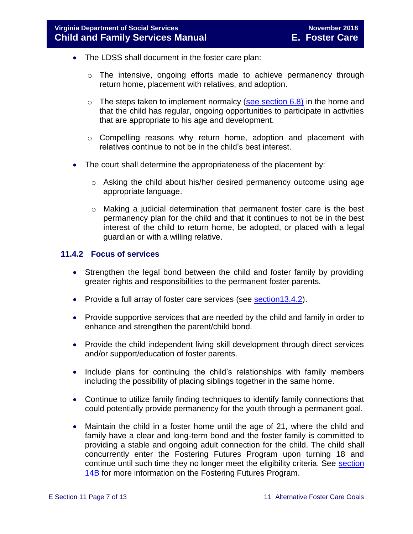- The LDSS shall document in the foster care plan:
	- o The intensive, ongoing efforts made to achieve permanency through return home, placement with relatives, and adoption.
	- $\circ$  The steps taken to implement normalcy [\(see section 6.8\)](file://///Vaultcelerra.co.dss.state.va.us/Workgroup/Family_Services/DFS%20Child%20and%20Family%20Services%20Manual/E.%20Foster%20Care/Foster%20Care%20June%202017/section_6_placement_to_achieve_permanency.draft.docx) in the home and that the child has regular, ongoing opportunities to participate in activities that are appropriate to his age and development.
	- o Compelling reasons why return home, adoption and placement with relatives continue to not be in the child's best interest.
- The court shall determine the appropriateness of the placement by:
	- o Asking the child about his/her desired permanency outcome using age appropriate language.
	- o Making a judicial determination that permanent foster care is the best permanency plan for the child and that it continues to not be in the best interest of the child to return home, be adopted, or placed with a legal guardian or with a willing relative.

#### <span id="page-6-0"></span>**11.4.2 Focus of services**

- Strengthen the legal bond between the child and foster family by providing greater rights and responsibilities to the permanent foster parents.
- Provide a full array of foster care services (see **section 13.4.2**).
- Provide supportive services that are needed by the child and family in order to enhance and strengthen the parent/child bond.
- Provide the child independent living skill development through direct services and/or support/education of foster parents.
- Include plans for continuing the child's relationships with family members including the possibility of placing siblings together in the same home.
- Continue to utilize family finding techniques to identify family connections that could potentially provide permanency for the youth through a permanent goal.
- Maintain the child in a foster home until the age of 21, where the child and family have a clear and long-term bond and the foster family is committed to providing a stable and ongoing adult connection for the child. The child shall concurrently enter the Fostering Futures Program upon turning 18 and continue until such time they no longer meet the eligibility criteria. See [section](file://///Vaultcelerra.co.dss.state.va.us/Workgroup/Family_Services/DFS%20Child%20and%20Family%20Services%20Manual/E.%20Foster%20Care/Foster%20Care%20June%202017/Section_14B%20Fostering%20Futures.docx)  [14B](file://///Vaultcelerra.co.dss.state.va.us/Workgroup/Family_Services/DFS%20Child%20and%20Family%20Services%20Manual/E.%20Foster%20Care/Foster%20Care%20June%202017/Section_14B%20Fostering%20Futures.docx) for more information on the Fostering Futures Program.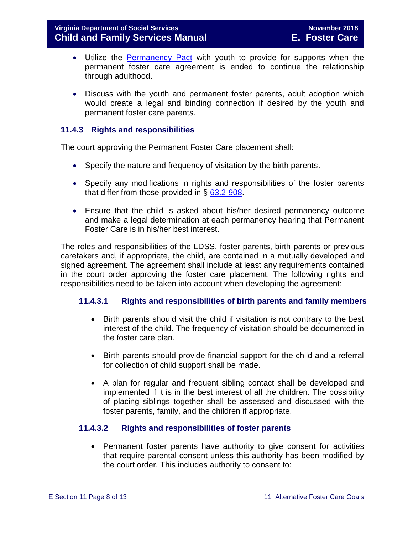- Utilize the [Permanency Pact](http://www.fosterclub.com/_transition/article/permanency-pact) with youth to provide for supports when the permanent foster care agreement is ended to continue the relationship through adulthood.
- Discuss with the youth and permanent foster parents, adult adoption which would create a legal and binding connection if desired by the youth and permanent foster care parents.

#### <span id="page-7-0"></span>**11.4.3 Rights and responsibilities**

The court approving the Permanent Foster Care placement shall:

- Specify the nature and frequency of visitation by the birth parents.
- Specify any modifications in rights and responsibilities of the foster parents that differ from those provided in § [63.2-908.](http://law.lis.virginia.gov/vacode/63.2-908/)
- Ensure that the child is asked about his/her desired permanency outcome and make a legal determination at each permanency hearing that Permanent Foster Care is in his/her best interest.

The roles and responsibilities of the LDSS, foster parents, birth parents or previous caretakers and, if appropriate, the child, are contained in a mutually developed and signed agreement. The agreement shall include at least any requirements contained in the court order approving the foster care placement. The following rights and responsibilities need to be taken into account when developing the agreement:

#### **11.4.3.1 Rights and responsibilities of birth parents and family members**

- Birth parents should visit the child if visitation is not contrary to the best interest of the child. The frequency of visitation should be documented in the foster care plan.
- Birth parents should provide financial support for the child and a referral for collection of child support shall be made.
- A plan for regular and frequent sibling contact shall be developed and implemented if it is in the best interest of all the children. The possibility of placing siblings together shall be assessed and discussed with the foster parents, family, and the children if appropriate.

#### **11.4.3.2 Rights and responsibilities of foster parents**

 Permanent foster parents have authority to give consent for activities that require parental consent unless this authority has been modified by the court order. This includes authority to consent to: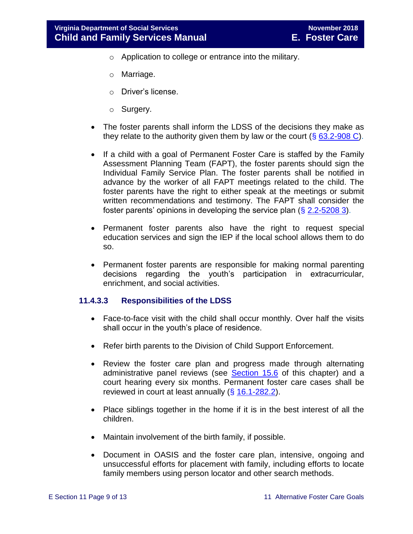- o Application to college or entrance into the military.
- o Marriage.
- o Driver's license.
- o Surgery.
- The foster parents shall inform the LDSS of the decisions they make as they relate to the authority given them by law or the court  $(\S$  [63.2-908 C\)](http://law.lis.virginia.gov/vacode/63.2-908/).
- If a child with a goal of Permanent Foster Care is staffed by the Family Assessment Planning Team (FAPT), the foster parents should sign the Individual Family Service Plan. The foster parents shall be notified in advance by the worker of all FAPT meetings related to the child. The foster parents have the right to either speak at the meetings or submit written recommendations and testimony. The FAPT shall consider the foster parents' opinions in developing the service plan  $(\S 2.2 - 5208 3)$ .
- Permanent foster parents also have the right to request special education services and sign the IEP if the local school allows them to do so.
- Permanent foster parents are responsible for making normal parenting decisions regarding the youth's participation in extracurricular, enrichment, and social activities.

#### **11.4.3.3 Responsibilities of the LDSS**

- Face-to-face visit with the child shall occur monthly. Over half the visits shall occur in the youth's place of residence.
- Refer birth parents to the Division of Child Support Enforcement.
- Review the foster care plan and progress made through alternating administrative panel reviews (see [Section 15.6](file://///Vaultcelerra.co.dss.state.va.us/Workgroup/Family_Services/DFS%20Child%20and%20Family%20Services%20Manual/E.%20Foster%20Care/Foster%20Care%20June%202017/section_15_developing_service_plan.draft.docx) of this chapter) and a court hearing every six months. Permanent foster care cases shall be reviewed in court at least annually  $(\S 16.1-282.2)$  $(\S 16.1-282.2)$ .
- Place siblings together in the home if it is in the best interest of all the children.
- Maintain involvement of the birth family, if possible.
- Document in OASIS and the foster care plan, intensive, ongoing and unsuccessful efforts for placement with family, including efforts to locate family members using person locator and other search methods.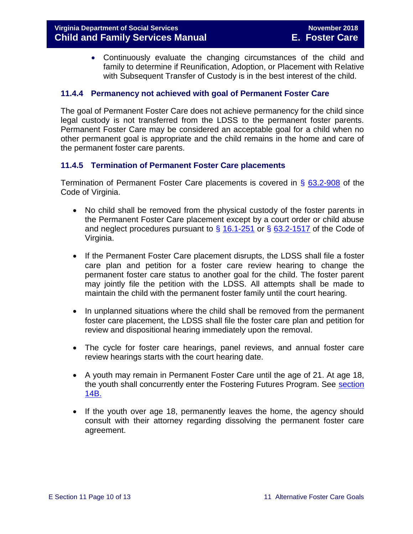Continuously evaluate the changing circumstances of the child and family to determine if Reunification, Adoption, or Placement with Relative with Subsequent Transfer of Custody is in the best interest of the child.

#### <span id="page-9-0"></span>**11.4.4 Permanency not achieved with goal of Permanent Foster Care**

The goal of Permanent Foster Care does not achieve permanency for the child since legal custody is not transferred from the LDSS to the permanent foster parents. Permanent Foster Care may be considered an acceptable goal for a child when no other permanent goal is appropriate and the child remains in the home and care of the permanent foster care parents.

#### <span id="page-9-1"></span>**11.4.5 Termination of Permanent Foster Care placements**

Termination of Permanent Foster Care placements is covered in § [63.2-908](http://law.lis.virginia.gov/vacode/63.2-908/) of the Code of Virginia.

- No child shall be removed from the physical custody of the foster parents in the Permanent Foster Care placement except by a court order or child abuse and neglect procedures pursuant to  $\S$  [16.1-251](http://law.lis.virginia.gov/vacode/16.1-251/) or  $\S$  [63.2-1517](http://law.lis.virginia.gov/vacode/63.2-1517/) of the Code of Virginia.
- If the Permanent Foster Care placement disrupts, the LDSS shall file a foster care plan and petition for a foster care review hearing to change the permanent foster care status to another goal for the child. The foster parent may jointly file the petition with the LDSS. All attempts shall be made to maintain the child with the permanent foster family until the court hearing.
- In unplanned situations where the child shall be removed from the permanent foster care placement, the LDSS shall file the foster care plan and petition for review and dispositional hearing immediately upon the removal.
- The cycle for foster care hearings, panel reviews, and annual foster care review hearings starts with the court hearing date.
- A youth may remain in Permanent Foster Care until the age of 21. At age 18, the youth shall concurrently enter the Fostering Futures Program. See [section](file://///Vaultcelerra.co.dss.state.va.us/Workgroup/Family_Services/DFS%20Child%20and%20Family%20Services%20Manual/E.%20Foster%20Care/Foster%20Care%20June%202017/Section_14B%20Fostering%20Futures.docx)  [14B.](file://///Vaultcelerra.co.dss.state.va.us/Workgroup/Family_Services/DFS%20Child%20and%20Family%20Services%20Manual/E.%20Foster%20Care/Foster%20Care%20June%202017/Section_14B%20Fostering%20Futures.docx)
- If the youth over age 18, permanently leaves the home, the agency should consult with their attorney regarding dissolving the permanent foster care agreement.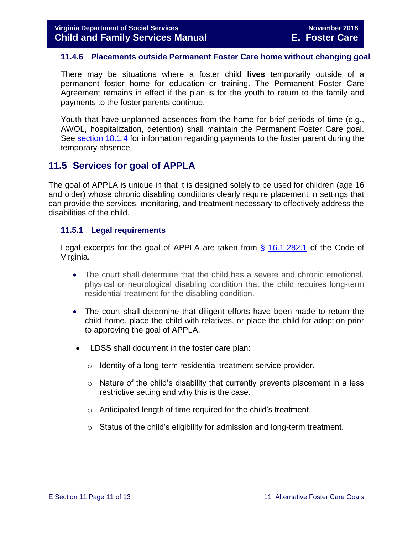#### <span id="page-10-0"></span>**11.4.6 Placements outside Permanent Foster Care home without changing goal**

There may be situations where a foster child **lives** temporarily outside of a permanent foster home for education or training. The Permanent Foster Care Agreement remains in effect if the plan is for the youth to return to the family and payments to the foster parents continue.

Youth that have unplanned absences from the home for brief periods of time (e.g., AWOL, hospitalization, detention) shall maintain the Permanent Foster Care goal. See [section 18.1.4](file://///Vaultcelerra.co.dss.state.va.us/Workgroup/Family_Services/DFS%20Child%20and%20Family%20Services%20Manual/E.%20Foster%20Care/Foster%20Care%20June%202017/section_18_funding_maintenance_costs.draft.docx) for information regarding payments to the foster parent during the temporary absence.

#### <span id="page-10-1"></span>**11.5 Services for goal of APPLA**

The goal of APPLA is unique in that it is designed solely to be used for children (age 16 and older) whose chronic disabling conditions clearly require placement in settings that can provide the services, monitoring, and treatment necessary to effectively address the disabilities of the child.

#### <span id="page-10-2"></span>**11.5.1 Legal requirements**

Legal excerpts for the goal of APPLA are taken from  $\S$  [16.1-282.1](http://law.lis.virginia.gov/vacode/16.1-282.1/) of the Code of Virginia.

- The court shall determine that the child has a severe and chronic emotional, physical or neurological disabling condition that the child requires long-term residential treatment for the disabling condition.
- The court shall determine that diligent efforts have been made to return the child home, place the child with relatives, or place the child for adoption prior to approving the goal of APPLA.
- LDSS shall document in the foster care plan:
	- o Identity of a long-term residential treatment service provider.
	- $\circ$  Nature of the child's disability that currently prevents placement in a less restrictive setting and why this is the case.
	- o Anticipated length of time required for the child's treatment.
	- $\circ$  Status of the child's eligibility for admission and long-term treatment.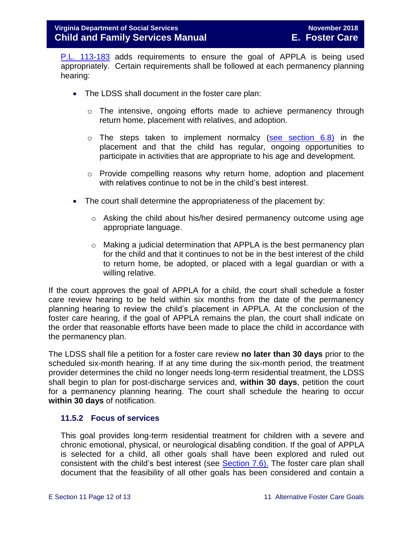[P.L. 113-183](https://www.congress.gov/113/plaws/publ183/PLAW-113publ183.pdf) adds requirements to ensure the goal of APPLA is being used appropriately. Certain requirements shall be followed at each permanency planning hearing:

- The LDSS shall document in the foster care plan:
	- o The intensive, ongoing efforts made to achieve permanency through return home, placement with relatives, and adoption.
	- $\circ$  The steps taken to implement normalcy [\(see section 6.8\)](file://///Vaultcelerra.co.dss.state.va.us/Workgroup/Family_Services/DFS%20Child%20and%20Family%20Services%20Manual/E.%20Foster%20Care/Foster%20Care%20June%202017/section_6_placement_to_achieve_permanency.draft.docx) in the placement and that the child has regular, ongoing opportunities to participate in activities that are appropriate to his age and development.
	- $\circ$  Provide compelling reasons why return home, adoption and placement with relatives continue to not be in the child's best interest.
- The court shall determine the appropriateness of the placement by:
	- $\circ$  Asking the child about his/her desired permanency outcome using age appropriate language.
	- o Making a judicial determination that APPLA is the best permanency plan for the child and that it continues to not be in the best interest of the child to return home, be adopted, or placed with a legal guardian or with a willing relative.

If the court approves the goal of APPLA for a child, the court shall schedule a foster care review hearing to be held within six months from the date of the permanency planning hearing to review the child's placement in APPLA. At the conclusion of the foster care hearing, if the goal of APPLA remains the plan, the court shall indicate on the order that reasonable efforts have been made to place the child in accordance with the permanency plan.

The LDSS shall file a petition for a foster care review **no later than 30 days** prior to the scheduled six-month hearing. If at any time during the six-month period, the treatment provider determines the child no longer needs long-term residential treatment, the LDSS shall begin to plan for post-discharge services and, **within 30 days**, petition the court for a permanency planning hearing. The court shall schedule the hearing to occur **within 30 days** of notification.

#### <span id="page-11-0"></span>**11.5.2 Focus of services**

This goal provides long-term residential treatment for children with a severe and chronic emotional, physical, or neurological disabling condition. If the goal of APPLA is selected for a child, all other goals shall have been explored and ruled out consistent with the child's best interest (see [Section 7.6\).](file://///Vaultcelerra.co.dss.state.va.us/Workgroup/Family_Services/DFS%20Child%20and%20Family%20Services%20Manual/E.%20Foster%20Care/Foster%20Care%20June%202017/section_7_selecting_permanency_goals.docx) The foster care plan shall document that the feasibility of all other goals has been considered and contain a